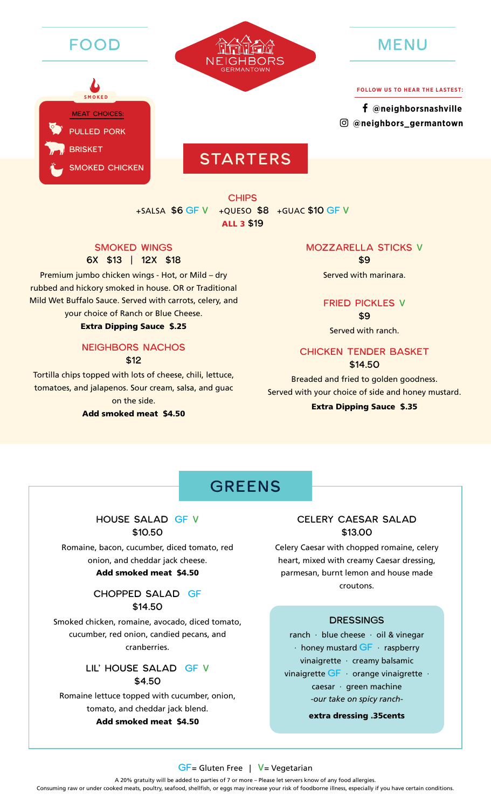





**FOLLOW US TO HEAR THE LASTEST:**

 **[@neighborsnashville](https://www.facebook.com/neighborsnashville/) [@neighbors\\_](https://www.instagram.com/neighbors_germantown/)[germantown](https://www.instagram.com/neighbors_sylvanpark/)**

# **STARTERS**

**CHIPS** +SALSA \$6 GF V +QUESO \$8 +GUAC \$10 GF V ALL 3 \$19

### SMOKED WINGS

### 6X \$13 | 12X \$18

Premium jumbo chicken wings - Hot, or Mild – dry rubbed and hickory smoked in house. OR or Traditional Mild Wet Buffalo Sauce. Served with carrots, celery, and

### your choice of Ranch or Blue Cheese.

### Extra Dipping Sauce \$.25

#### NEIGHBORS NACHOS \$12

Tortilla chips topped with lots of cheese, chili, lettuce, tomatoes, and jalapenos. Sour cream, salsa, and guac on the side.

### Add smoked meat \$4.50

#### MOZZARELLA STICKS V

\$9 Served with marinara.

### FRIED PICKLES V

\$9

Served with ranch.

### CHICKEN TENDER BASKET

\$14.50

Breaded and fried to golden goodness. Served with your choice of side and honey mustard.

### Extra Dipping Sauce \$.35

### **GREENS**

### HOUSE SALAD GF V \$10.50

Romaine, bacon, cucumber, diced tomato, red onion, and cheddar jack cheese.

### Add smoked meat \$4.50

### CHOPPED SALAD GF \$14.50

Smoked chicken, romaine, avocado, diced tomato, cucumber, red onion, candied pecans, and cranberries.

### LIL' HOUSE SALAD GF V \$4.50

Romaine lettuce topped with cucumber, onion, tomato, and cheddar jack blend.

#### Add smoked meat \$4.50

### CELERY CAESAR SALAD \$13.00

Celery Caesar with chopped romaine, celery heart, mixed with creamy Caesar dressing, parmesan, burnt lemon and house made croutons.

#### DRESSINGS

ranch · blue cheese · oil & vinegar  $\cdot$  honey mustard  $GF$  · raspberry vinaigrette · creamy balsamic vinaigrette GF orange vinaigrette · caesar · green machine *-our take on spicy ranch-*

extra dressing .35cents

#### GF= Gluten Free | V= Vegetarian

A 20% gratuity will be added to parties of 7 or more – Please let servers know of any food allergies. Consuming raw or under cooked meats, poultry, seafood, shellfish, or eggs may increase your risk of foodborne illness, especially if you have certain conditions.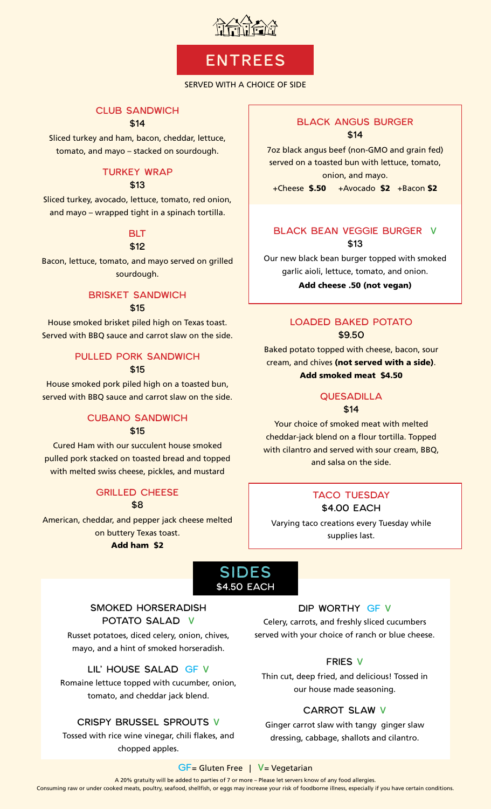

## ENTREES

### SERVED WITH A CHOICE OF SIDE

### CLUB SANDWICH

### \$14

Sliced turkey and ham, bacon, cheddar, lettuce, tomato, and mayo – stacked on sourdough.

### TURKEY WRAP

\$13

Sliced turkey, avocado, lettuce, tomato, red onion, and mayo – wrapped tight in a spinach tortilla.

### **BLT**

\$12

Bacon, lettuce, tomato, and mayo served on grilled sourdough.

### BRISKET SANDWICH \$15

House smoked brisket piled high on Texas toast. Served with BBQ sauce and carrot slaw on the side.

### PULLED PORK SANDWICH \$15

House smoked pork piled high on a toasted bun, served with BBQ sauce and carrot slaw on the side.

### CUBANO SANDWICH

### \$15

Cured Ham with our succulent house smoked pulled pork stacked on toasted bread and topped with melted swiss cheese, pickles, and mustard

### GRILLED CHEESE

\$8

American, cheddar, and pepper jack cheese melted on buttery Texas toast. Add ham \$2

### BLACK ANGUS BURGER \$14

7oz black angus beef (non-GMO and grain fed) served on a toasted bun with lettuce, tomato, onion, and mayo.

+Cheese \$.50 +Avocado \$2 +Bacon \$2

### BLACK BEAN VEGGIE BURGER V \$13

Our new black bean burger topped with smoked garlic aioli, lettuce, tomato, and onion.

Add cheese .50 (not vegan)

### LOADED BAKED POTATO \$9.50

Baked potato topped with cheese, bacon, sour cream, and chives (not served with a side). Add smoked meat \$4.50

### QUESADILLA

\$14

Your choice of smoked meat with melted cheddar-jack blend on a flour tortilla. Topped with cilantro and served with sour cream, BBQ, and salsa on the side.

### TACO TUESDAY

\$4.00 EACH Varying taco creations every Tuesday while

supplies last.



### SMOKED HORSERADISH POTATO SALAD V

Russet potatoes, diced celery, onion, chives, mayo, and a hint of smoked horseradish.

LIL' HOUSE SALAD GF V

Romaine lettuce topped with cucumber, onion, tomato, and cheddar jack blend.

### CRISPY BRUSSEL SPROUTS V

Tossed with rice wine vinegar, chili flakes, and chopped apples.

### DIP WORTHY GF V

Celery, carrots, and freshly sliced cucumbers served with your choice of ranch or blue cheese.

### FRIES V

Thin cut, deep fried, and delicious! Tossed in our house made seasoning.

### CARROT SLAW V

Ginger carrot slaw with tangy ginger slaw dressing, cabbage, shallots and cilantro.

#### GF= Gluten Free | V= Vegetarian

A 20% gratuity will be added to parties of 7 or more – Please let servers know of any food allergies. Consuming raw or under cooked meats, poultry, seafood, shellfish, or eggs may increase your risk of foodborne illness, especially if you have certain conditions.